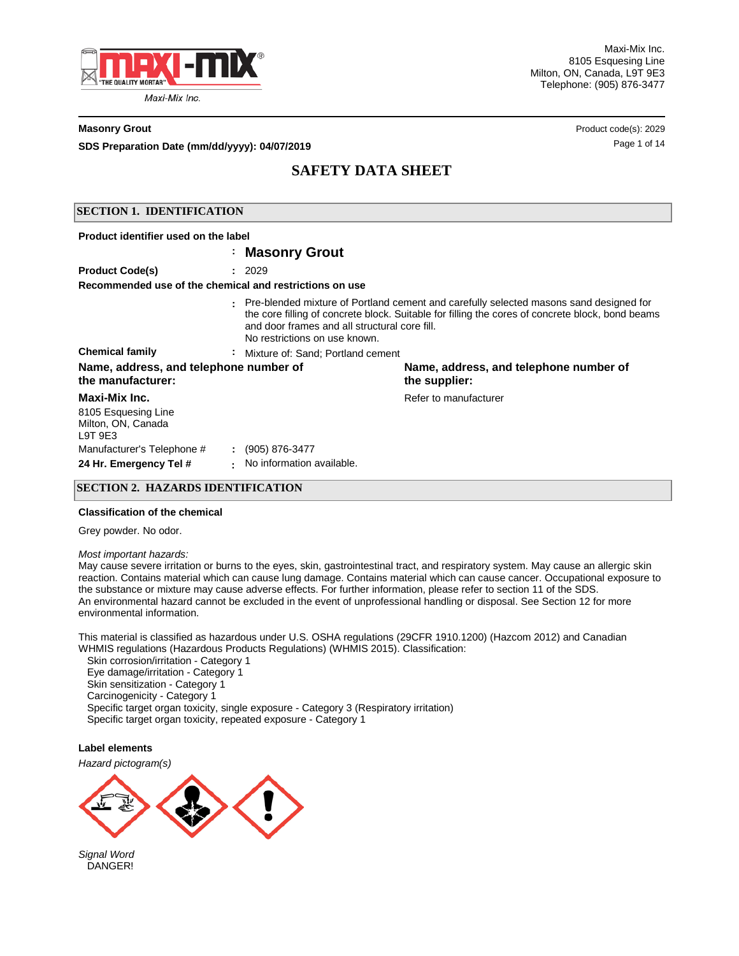

Maxi-Mix Inc. 8105 Esquesing Line Milton, ON, Canada, L9T 9E3 Telephone: (905) 876-3477

#### **Masonry Grout** Product code(s): 2029

**SDS Preparation Date (mm/dd/yyyy): 04/07/2019 Discription of the USS Preparation Date (mm/dd/yyyy): 04/07/2019** 

# **SAFETY DATA SHEET**

## **SECTION 1. IDENTIFICATION**

| Product identifier used on the label                                                                                                                                                                                                                                         |                                                 |                                                         |  |  |  |
|------------------------------------------------------------------------------------------------------------------------------------------------------------------------------------------------------------------------------------------------------------------------------|-------------------------------------------------|---------------------------------------------------------|--|--|--|
|                                                                                                                                                                                                                                                                              | : Masonry Grout                                 |                                                         |  |  |  |
| <b>Product Code(s)</b>                                                                                                                                                                                                                                                       | : 2029                                          |                                                         |  |  |  |
| Recommended use of the chemical and restrictions on use                                                                                                                                                                                                                      |                                                 |                                                         |  |  |  |
| Pre-blended mixture of Portland cement and carefully selected masons sand designed for<br>the core filling of concrete block. Suitable for filling the cores of concrete block, bond beams<br>and door frames and all structural core fill.<br>No restrictions on use known. |                                                 |                                                         |  |  |  |
| <b>Chemical family</b>                                                                                                                                                                                                                                                       | : Mixture of: Sand: Portland cement             |                                                         |  |  |  |
| Name, address, and telephone number of<br>the manufacturer:                                                                                                                                                                                                                  |                                                 | Name, address, and telephone number of<br>the supplier: |  |  |  |
| Maxi-Mix Inc.<br>8105 Esquesing Line<br>Milton, ON, Canada<br>L9T9E3<br>Manufacturer's Telephone #<br>24 Hr. Emergency Tel #                                                                                                                                                 | $: (905) 876-3477$<br>No information available. | Refer to manufacturer                                   |  |  |  |

## **SECTION 2. HAZARDS IDENTIFICATION**

#### **Classification of the chemical**

Grey powder. No odor.

*Most important hazards:* 

May cause severe irritation or burns to the eyes, skin, gastrointestinal tract, and respiratory system. May cause an allergic skin reaction. Contains material which can cause lung damage. Contains material which can cause cancer. Occupational exposure to the substance or mixture may cause adverse effects. For further information, please refer to section 11 of the SDS. An environmental hazard cannot be excluded in the event of unprofessional handling or disposal. See Section 12 for more environmental information.

This material is classified as hazardous under U.S. OSHA regulations (29CFR 1910.1200) (Hazcom 2012) and Canadian WHMIS regulations (Hazardous Products Regulations) (WHMIS 2015). Classification:

 Skin corrosion/irritation - Category 1 Eye damage/irritation - Category 1 Skin sensitization - Category 1 Carcinogenicity - Category 1 Specific target organ toxicity, single exposure - Category 3 (Respiratory irritation) Specific target organ toxicity, repeated exposure - Category 1

**Label elements**

*Hazard pictogram(s)*



*Signal Word* DANGER!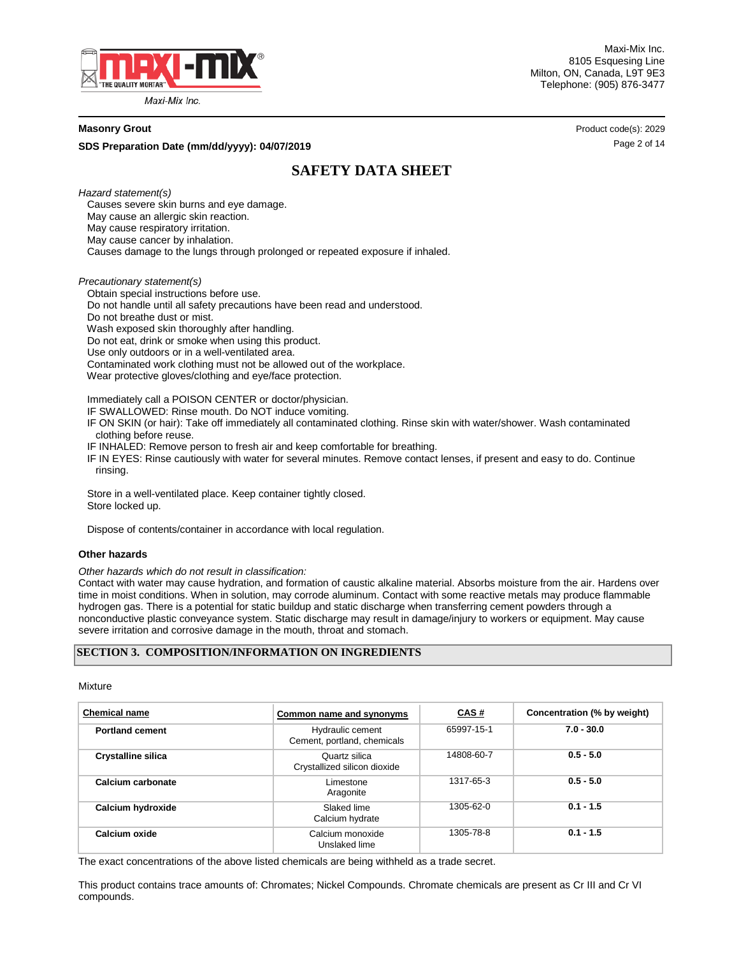

Maxi-Mix Inc. 8105 Esquesing Line Milton, ON, Canada, L9T 9E3 Telephone: (905) 876-3477

#### **Masonry Grout** Product code(s): 2029

**SDS Preparation Date (mm/dd/yyyy): 04/07/2019 Discription of the contract of the Cause 2 of 14 Page 2 of 14** 

# **SAFETY DATA SHEET**

*Hazard statement(s)*

 Causes severe skin burns and eye damage. May cause an allergic skin reaction. May cause respiratory irritation. May cause cancer by inhalation. Causes damage to the lungs through prolonged or repeated exposure if inhaled.

*Precautionary statement(s)*

 Obtain special instructions before use. Do not handle until all safety precautions have been read and understood. Do not breathe dust or mist. Wash exposed skin thoroughly after handling. Do not eat, drink or smoke when using this product. Use only outdoors or in a well-ventilated area. Contaminated work clothing must not be allowed out of the workplace. Wear protective gloves/clothing and eye/face protection.

Immediately call a POISON CENTER or doctor/physician.

IF SWALLOWED: Rinse mouth. Do NOT induce vomiting.

 IF ON SKIN (or hair): Take off immediately all contaminated clothing. Rinse skin with water/shower. Wash contaminated clothing before reuse.

IF INHALED: Remove person to fresh air and keep comfortable for breathing.

 IF IN EYES: Rinse cautiously with water for several minutes. Remove contact lenses, if present and easy to do. Continue rinsing.

 Store in a well-ventilated place. Keep container tightly closed. Store locked up.

Dispose of contents/container in accordance with local regulation.

#### **Other hazards**

*Other hazards which do not result in classification:* 

Contact with water may cause hydration, and formation of caustic alkaline material. Absorbs moisture from the air. Hardens over time in moist conditions. When in solution, may corrode aluminum. Contact with some reactive metals may produce flammable hydrogen gas. There is a potential for static buildup and static discharge when transferring cement powders through a nonconductive plastic conveyance system. Static discharge may result in damage/injury to workers or equipment. May cause severe irritation and corrosive damage in the mouth, throat and stomach.

### **SECTION 3. COMPOSITION/INFORMATION ON INGREDIENTS**

Mixture

| <b>Chemical name</b>      | Common name and synonyms                        | CAS#       | Concentration (% by weight) |  |
|---------------------------|-------------------------------------------------|------------|-----------------------------|--|
| <b>Portland cement</b>    | Hydraulic cement<br>Cement, portland, chemicals | 65997-15-1 | $7.0 - 30.0$                |  |
| <b>Crystalline silica</b> | Quartz silica<br>Crystallized silicon dioxide   | 14808-60-7 | $0.5 - 5.0$                 |  |
| Calcium carbonate         | Limestone<br>Aragonite                          | 1317-65-3  | $0.5 - 5.0$                 |  |
| Calcium hydroxide         | Slaked lime<br>Calcium hydrate                  | 1305-62-0  | $0.1 - 1.5$                 |  |
| Calcium oxide             | Calcium monoxide<br>Unslaked lime               | 1305-78-8  | $0.1 - 1.5$                 |  |

The exact concentrations of the above listed chemicals are being withheld as a trade secret.

This product contains trace amounts of: Chromates; Nickel Compounds. Chromate chemicals are present as Cr III and Cr VI compounds.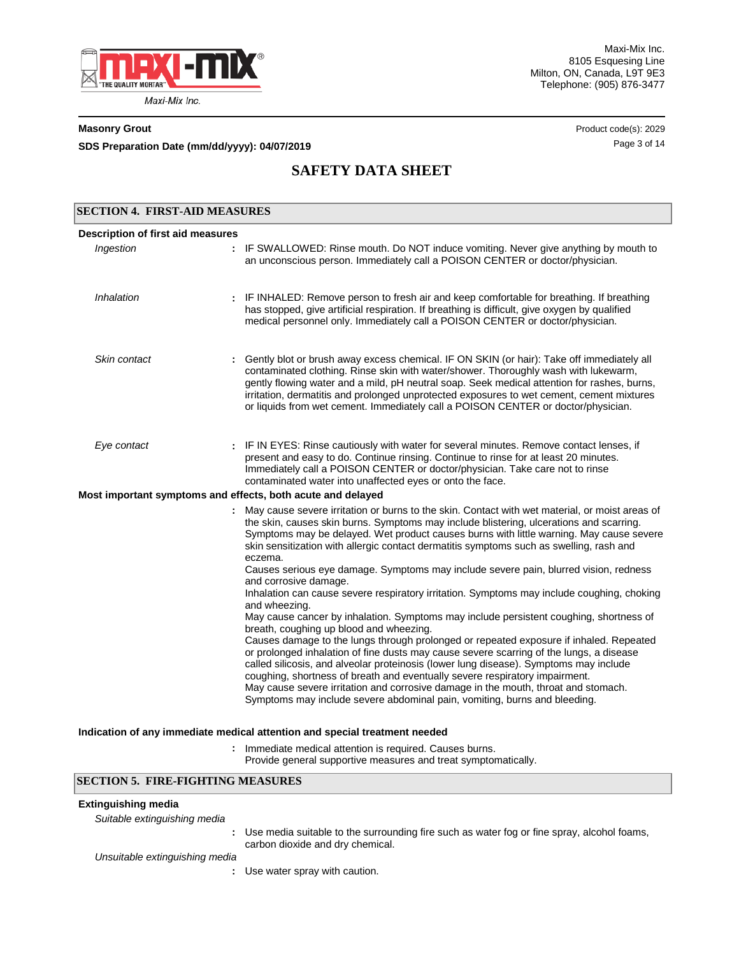

Maxi-Mix Inc. 8105 Esquesing Line Milton, ON, Canada, L9T 9E3 Telephone: (905) 876-3477

**SDS Preparation Date (mm/dd/yyyy): 04/07/2019 04/07/2019 14/07/2019 14 14** 

**Masonry Grout** Product code(s): 2029

# **SAFETY DATA SHEET**

| <b>SECTION 4. FIRST-AID MEASURES</b> |                                                                                                                                                                                                                                                                                                                                                                                                                                                                                                                                                                         |
|--------------------------------------|-------------------------------------------------------------------------------------------------------------------------------------------------------------------------------------------------------------------------------------------------------------------------------------------------------------------------------------------------------------------------------------------------------------------------------------------------------------------------------------------------------------------------------------------------------------------------|
| Description of first aid measures    |                                                                                                                                                                                                                                                                                                                                                                                                                                                                                                                                                                         |
| Ingestion                            | : IF SWALLOWED: Rinse mouth. Do NOT induce vomiting. Never give anything by mouth to<br>an unconscious person. Immediately call a POISON CENTER or doctor/physician.                                                                                                                                                                                                                                                                                                                                                                                                    |
| Inhalation                           | : IF INHALED: Remove person to fresh air and keep comfortable for breathing. If breathing<br>has stopped, give artificial respiration. If breathing is difficult, give oxygen by qualified<br>medical personnel only. Immediately call a POISON CENTER or doctor/physician.                                                                                                                                                                                                                                                                                             |
| Skin contact                         | Gently blot or brush away excess chemical. IF ON SKIN (or hair): Take off immediately all<br>contaminated clothing. Rinse skin with water/shower. Thoroughly wash with lukewarm,<br>gently flowing water and a mild, pH neutral soap. Seek medical attention for rashes, burns,<br>irritation, dermatitis and prolonged unprotected exposures to wet cement, cement mixtures<br>or liquids from wet cement. Immediately call a POISON CENTER or doctor/physician.                                                                                                       |
| Eye contact                          | : IF IN EYES: Rinse cautiously with water for several minutes. Remove contact lenses, if<br>present and easy to do. Continue rinsing. Continue to rinse for at least 20 minutes.<br>Immediately call a POISON CENTER or doctor/physician. Take care not to rinse<br>contaminated water into unaffected eyes or onto the face.                                                                                                                                                                                                                                           |
|                                      | Most important symptoms and effects, both acute and delayed                                                                                                                                                                                                                                                                                                                                                                                                                                                                                                             |
|                                      | : May cause severe irritation or burns to the skin. Contact with wet material, or moist areas of<br>the skin, causes skin burns. Symptoms may include blistering, ulcerations and scarring.<br>Symptoms may be delayed. Wet product causes burns with little warning. May cause severe<br>skin sensitization with allergic contact dermatitis symptoms such as swelling, rash and<br>eczema.<br>Causes serious eye damage. Symptoms may include severe pain, blurred vision, redness                                                                                    |
|                                      | and corrosive damage.<br>Inhalation can cause severe respiratory irritation. Symptoms may include coughing, choking<br>and wheezing.<br>May cause cancer by inhalation. Symptoms may include persistent coughing, shortness of                                                                                                                                                                                                                                                                                                                                          |
|                                      | breath, coughing up blood and wheezing.<br>Causes damage to the lungs through prolonged or repeated exposure if inhaled. Repeated<br>or prolonged inhalation of fine dusts may cause severe scarring of the lungs, a disease<br>called silicosis, and alveolar proteinosis (lower lung disease). Symptoms may include<br>coughing, shortness of breath and eventually severe respiratory impairment.<br>May cause severe irritation and corrosive damage in the mouth, throat and stomach.<br>Symptoms may include severe abdominal pain, vomiting, burns and bleeding. |
|                                      | Indication of any immediate medical attention and special treatment needed                                                                                                                                                                                                                                                                                                                                                                                                                                                                                              |

Immediate medical attention is required. Causes burns. **:**

Provide general supportive measures and treat symptomatically.

# **SECTION 5. FIRE-FIGHTING MEASURES**

## **Extinguishing media**

| Suitable extinguishing media   |                                                                                                                                  |
|--------------------------------|----------------------------------------------------------------------------------------------------------------------------------|
|                                | : Use media suitable to the surrounding fire such as water fog or fine spray, alcohol foams,<br>carbon dioxide and dry chemical. |
| Unsuitable extinguishing media |                                                                                                                                  |
|                                | : Use water spray with caution.                                                                                                  |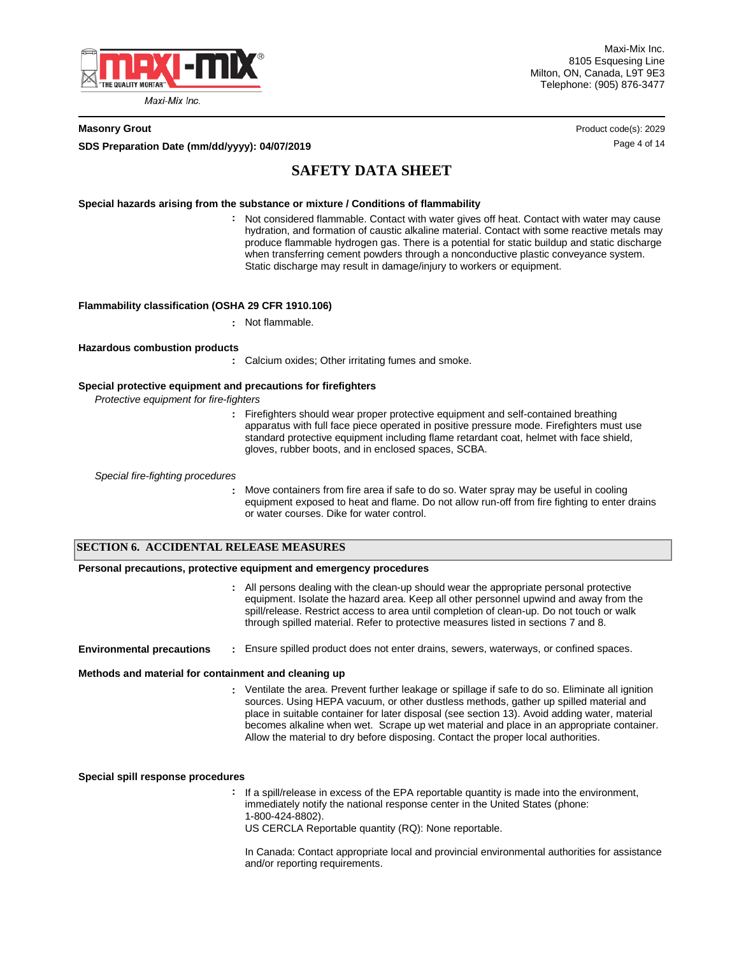

Maxi-Mix Inc. 8105 Esquesing Line Milton, ON, Canada, L9T 9E3 Telephone: (905) 876-3477

**SDS Preparation Date (mm/dd/yyyy): 04/07/2019 Discription of the contract of the Cause 4 of 14 Page 4 of 14** 

**Masonry Grout** Product code(s): 2029

# **SAFETY DATA SHEET**

#### **Special hazards arising from the substance or mixture / Conditions of flammability**

Not considered flammable. Contact with water gives off heat. Contact with water may cause **:** hydration, and formation of caustic alkaline material. Contact with some reactive metals may produce flammable hydrogen gas. There is a potential for static buildup and static discharge when transferring cement powders through a nonconductive plastic conveyance system. Static discharge may result in damage/injury to workers or equipment.

#### **Flammability classification (OSHA 29 CFR 1910.106)**

**:** Not flammable.

#### **Hazardous combustion products**

**:** Calcium oxides; Other irritating fumes and smoke.

### **Special protective equipment and precautions for firefighters**

**:**

*Protective equipment for fire-fighters*

**:** Firefighters should wear proper protective equipment and self-contained breathing apparatus with full face piece operated in positive pressure mode. Firefighters must use standard protective equipment including flame retardant coat, helmet with face shield, gloves, rubber boots, and in enclosed spaces, SCBA.

*Special fire-fighting procedures*

Move containers from fire area if safe to do so. Water spray may be useful in cooling equipment exposed to heat and flame. Do not allow run-off from fire fighting to enter drains or water courses. Dike for water control.

## **SECTION 6. ACCIDENTAL RELEASE MEASURES**

#### **Personal precautions, protective equipment and emergency procedures**

All persons dealing with the clean-up should wear the appropriate personal protective **:** equipment. Isolate the hazard area. Keep all other personnel upwind and away from the spill/release. Restrict access to area until completion of clean-up. Do not touch or walk through spilled material. Refer to protective measures listed in sections 7 and 8.

#### **Environmental precautions :** Ensure spilled product does not enter drains, sewers, waterways, or confined spaces.

#### **Methods and material for containment and cleaning up**

Ventilate the area. Prevent further leakage or spillage if safe to do so. Eliminate all ignition **:** sources. Using HEPA vacuum, or other dustless methods, gather up spilled material and place in suitable container for later disposal (see section 13). Avoid adding water, material becomes alkaline when wet. Scrape up wet material and place in an appropriate container. Allow the material to dry before disposing. Contact the proper local authorities.

**Special spill response procedures**

- **:** If a spill/release in excess of the EPA reportable quantity is made into the environment, immediately notify the national response center in the United States (phone: 1-800-424-8802).
	- US CERCLA Reportable quantity (RQ): None reportable.

In Canada: Contact appropriate local and provincial environmental authorities for assistance and/or reporting requirements.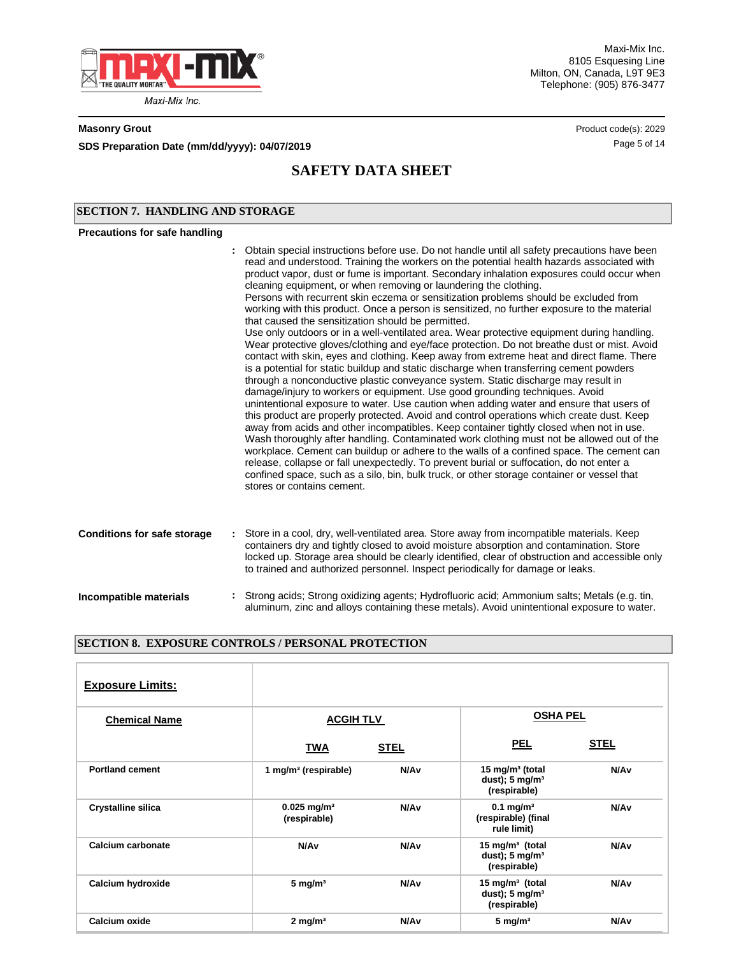

Maxi-Mix Inc. 8105 Esquesing Line Milton, ON, Canada, L9T 9E3 Telephone: (905) 876-3477

**SDS Preparation Date (mm/dd/yyyy): 04/07/2019 04/07/2019 14/07/2019 14 14** 

**Masonry Grout** Product code(s): 2029

# **SAFETY DATA SHEET**

## **SECTION 7. HANDLING AND STORAGE**

# **Precautions for safe handling**

|                                    | Obtain special instructions before use. Do not handle until all safety precautions have been<br>read and understood. Training the workers on the potential health hazards associated with<br>product vapor, dust or fume is important. Secondary inhalation exposures could occur when<br>cleaning equipment, or when removing or laundering the clothing.<br>Persons with recurrent skin eczema or sensitization problems should be excluded from<br>working with this product. Once a person is sensitized, no further exposure to the material<br>that caused the sensitization should be permitted.<br>Use only outdoors or in a well-ventilated area. Wear protective equipment during handling.<br>Wear protective gloves/clothing and eye/face protection. Do not breathe dust or mist. Avoid<br>contact with skin, eyes and clothing. Keep away from extreme heat and direct flame. There<br>is a potential for static buildup and static discharge when transferring cement powders<br>through a nonconductive plastic conveyance system. Static discharge may result in<br>damage/injury to workers or equipment. Use good grounding techniques. Avoid<br>unintentional exposure to water. Use caution when adding water and ensure that users of<br>this product are properly protected. Avoid and control operations which create dust. Keep<br>away from acids and other incompatibles. Keep container tightly closed when not in use.<br>Wash thoroughly after handling. Contaminated work clothing must not be allowed out of the<br>workplace. Cement can buildup or adhere to the walls of a confined space. The cement can<br>release, collapse or fall unexpectedly. To prevent burial or suffocation, do not enter a<br>confined space, such as a silo, bin, bulk truck, or other storage container or vessel that<br>stores or contains cement. |
|------------------------------------|----------------------------------------------------------------------------------------------------------------------------------------------------------------------------------------------------------------------------------------------------------------------------------------------------------------------------------------------------------------------------------------------------------------------------------------------------------------------------------------------------------------------------------------------------------------------------------------------------------------------------------------------------------------------------------------------------------------------------------------------------------------------------------------------------------------------------------------------------------------------------------------------------------------------------------------------------------------------------------------------------------------------------------------------------------------------------------------------------------------------------------------------------------------------------------------------------------------------------------------------------------------------------------------------------------------------------------------------------------------------------------------------------------------------------------------------------------------------------------------------------------------------------------------------------------------------------------------------------------------------------------------------------------------------------------------------------------------------------------------------------------------------------------------------------------------------------------------------------------------------|
| <b>Conditions for safe storage</b> | : Store in a cool, dry, well-ventilated area. Store away from incompatible materials. Keep<br>containers dry and tightly closed to avoid moisture absorption and contamination. Store<br>locked up. Storage area should be clearly identified, clear of obstruction and accessible only<br>to trained and authorized personnel. Inspect periodically for damage or leaks.                                                                                                                                                                                                                                                                                                                                                                                                                                                                                                                                                                                                                                                                                                                                                                                                                                                                                                                                                                                                                                                                                                                                                                                                                                                                                                                                                                                                                                                                                            |
| Incompatible materials             | : Strong acids; Strong oxidizing agents; Hydrofluoric acid; Ammonium salts; Metals (e.g. tin,<br>aluminum, zinc and alloys containing these metals). Avoid unintentional exposure to water.                                                                                                                                                                                                                                                                                                                                                                                                                                                                                                                                                                                                                                                                                                                                                                                                                                                                                                                                                                                                                                                                                                                                                                                                                                                                                                                                                                                                                                                                                                                                                                                                                                                                          |

## **SECTION 8. EXPOSURE CONTROLS / PERSONAL PROTECTION**

| <b>Exposure Limits:</b>   |                                           |                                     |                                                                          |                  |  |
|---------------------------|-------------------------------------------|-------------------------------------|--------------------------------------------------------------------------|------------------|--|
| <b>Chemical Name</b>      |                                           | <b>OSHA PEL</b><br><b>ACGIH TLV</b> |                                                                          |                  |  |
|                           | TWA                                       | <b>STEL</b>                         | <b>PEL</b>                                                               | <b>STEL</b>      |  |
| <b>Portland cement</b>    | 1 mg/m <sup>3</sup> (respirable)          | N/A <sub>v</sub>                    | 15 mg/m <sup>3</sup> (total<br>dust); $5 \text{ mg/m}^3$<br>(respirable) | N/A <sub>v</sub> |  |
| <b>Crystalline silica</b> | $0.025$ mg/m <sup>3</sup><br>(respirable) | N/A <sub>v</sub>                    | $0.1$ mg/m <sup>3</sup><br>(respirable) (final<br>rule limit)            | N/A <sub>v</sub> |  |
| Calcium carbonate         | N/A <sub>v</sub>                          | N/A <sub>v</sub>                    | 15 mg/m $3$ (total<br>dust); $5 \text{ mg/m}^3$<br>(respirable)          | N/A <sub>v</sub> |  |
| Calcium hydroxide         | $5 \text{ mg/m}^3$                        | N/A <sub>v</sub>                    | 15 mg/m $3$ (total<br>dust); $5 \text{ mg/m}^3$<br>(respirable)          | N/A <sub>v</sub> |  |
| Calcium oxide             | $2$ mg/m <sup>3</sup>                     | N/A <sub>v</sub>                    | $5 \text{ mg/m}^3$                                                       | N/A <sub>v</sub> |  |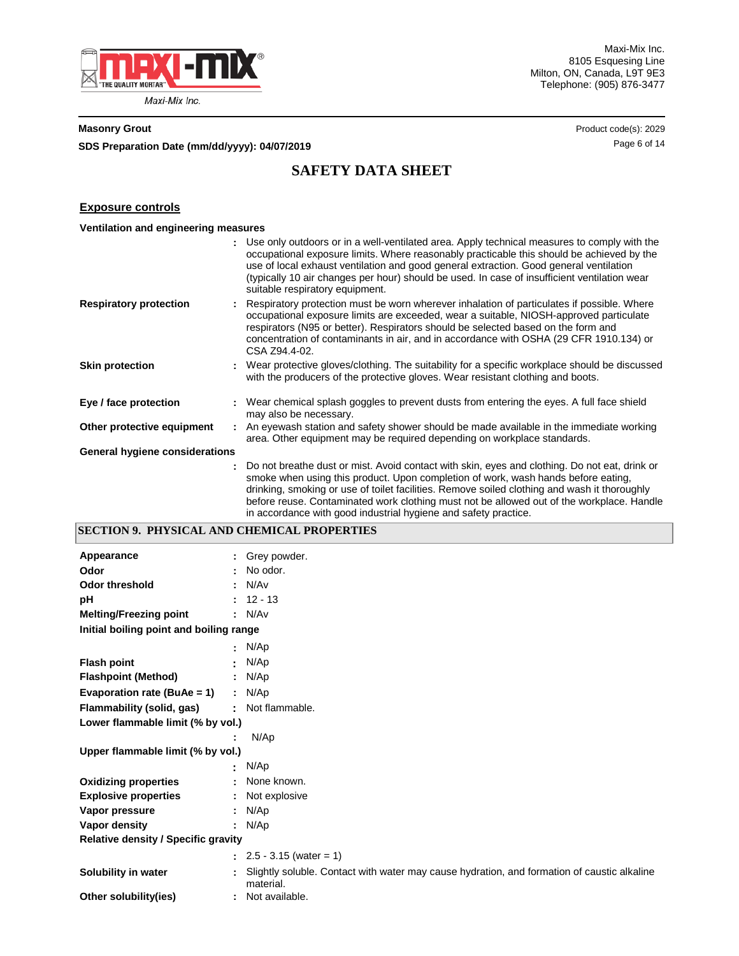

Maxi-Mix Inc. 8105 Esquesing Line Milton, ON, Canada, L9T 9E3 Telephone: (905) 876-3477

**SDS Preparation Date (mm/dd/yyyy): 04/07/2019 04/07/2019 14/07/2019 14 14** 

**Masonry Grout** Product code(s): 2029

# **SAFETY DATA SHEET**

## **Exposure controls**

|                                |    | : Use only outdoors or in a well-ventilated area. Apply technical measures to comply with the<br>occupational exposure limits. Where reasonably practicable this should be achieved by the<br>use of local exhaust ventilation and good general extraction. Good general ventilation<br>(typically 10 air changes per hour) should be used. In case of insufficient ventilation wear<br>suitable respiratory equipment.                            |
|--------------------------------|----|----------------------------------------------------------------------------------------------------------------------------------------------------------------------------------------------------------------------------------------------------------------------------------------------------------------------------------------------------------------------------------------------------------------------------------------------------|
| <b>Respiratory protection</b>  |    | Respiratory protection must be worn wherever inhalation of particulates if possible. Where<br>occupational exposure limits are exceeded, wear a suitable, NIOSH-approved particulate<br>respirators (N95 or better). Respirators should be selected based on the form and<br>concentration of contaminants in air, and in accordance with OSHA (29 CFR 1910.134) or<br>CSA Z94.4-02.                                                               |
| <b>Skin protection</b>         |    | : Wear protective gloves/clothing. The suitability for a specific workplace should be discussed<br>with the producers of the protective gloves. Wear resistant clothing and boots.                                                                                                                                                                                                                                                                 |
| Eye / face protection          |    | : Wear chemical splash goggles to prevent dusts from entering the eyes. A full face shield<br>may also be necessary.                                                                                                                                                                                                                                                                                                                               |
| Other protective equipment     |    | . An eyewash station and safety shower should be made available in the immediate working<br>area. Other equipment may be required depending on workplace standards.                                                                                                                                                                                                                                                                                |
| General hygiene considerations |    |                                                                                                                                                                                                                                                                                                                                                                                                                                                    |
|                                | t. | Do not breathe dust or mist. Avoid contact with skin, eyes and clothing. Do not eat, drink or<br>smoke when using this product. Upon completion of work, wash hands before eating,<br>drinking, smoking or use of toilet facilities. Remove soiled clothing and wash it thoroughly<br>before reuse. Contaminated work clothing must not be allowed out of the workplace. Handle<br>in accordance with good industrial hygiene and safety practice. |

# **SECTION 9. PHYSICAL AND CHEMICAL PROPERTIES**

| Appearance                                 |                          | Grey powder.                                                                                             |
|--------------------------------------------|--------------------------|----------------------------------------------------------------------------------------------------------|
| Odor                                       |                          | No odor.                                                                                                 |
| <b>Odor threshold</b>                      |                          | N/Av                                                                                                     |
| pH                                         |                          | $12 - 13$                                                                                                |
| <b>Melting/Freezing point</b>              |                          | : N/Av                                                                                                   |
| Initial boiling point and boiling range    |                          |                                                                                                          |
|                                            | ٠                        | N/Ap                                                                                                     |
| <b>Flash point</b>                         |                          | N/Ap                                                                                                     |
| <b>Flashpoint (Method)</b>                 |                          | : $N/Ap$                                                                                                 |
| Evaporation rate (BuAe = 1)                |                          | : $N/Ap$                                                                                                 |
| Flammability (solid, gas)                  | $\overline{\phantom{a}}$ | Not flammable.                                                                                           |
| Lower flammable limit (% by vol.)          |                          |                                                                                                          |
|                                            |                          | N/Ap                                                                                                     |
| Upper flammable limit (% by vol.)          |                          |                                                                                                          |
|                                            |                          | N/Ap                                                                                                     |
| <b>Oxidizing properties</b>                |                          | None known.                                                                                              |
| <b>Explosive properties</b>                |                          | Not explosive                                                                                            |
| Vapor pressure                             |                          | N/Ap                                                                                                     |
| Vapor density                              |                          | N/Ap                                                                                                     |
| <b>Relative density / Specific gravity</b> |                          |                                                                                                          |
|                                            |                          | $\therefore$ 2.5 - 3.15 (water = 1)                                                                      |
| Solubility in water                        |                          | Slightly soluble. Contact with water may cause hydration, and formation of caustic alkaline<br>material. |
| Other solubility(ies)                      |                          | Not available.                                                                                           |
|                                            |                          |                                                                                                          |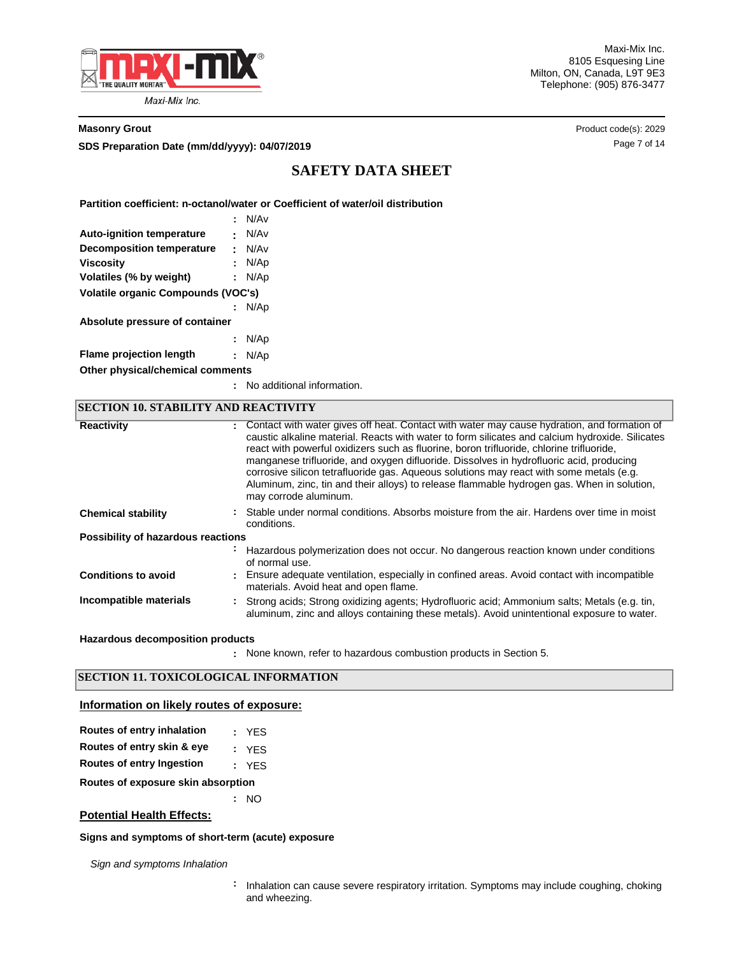

Maxi-Mix Inc. 8105 Esquesing Line Milton, ON, Canada, L9T 9E3 Telephone: (905) 876-3477

**Masonry Grout** Product code(s): 2029

**SDS Preparation Date (mm/dd/yyyy): 04/07/2019 Discription of the Case 7 of 14 Page 7 of 14 Page 7 of 14** 

# **SAFETY DATA SHEET**

**Partition coefficient: n-octanol/water or Coefficient of water/oil distribution**

|                                           |                                | N/A <sub>v</sub> |  |  |  |  |
|-------------------------------------------|--------------------------------|------------------|--|--|--|--|
| <b>Auto-ignition temperature</b>          |                                | N/Av             |  |  |  |  |
| Decomposition temperature                 | ٠.                             | N/A <sub>v</sub> |  |  |  |  |
| <b>Viscosity</b>                          |                                | N/Ap             |  |  |  |  |
| Volatiles (% by weight)                   | t.                             | N/Ap             |  |  |  |  |
| <b>Volatile organic Compounds (VOC's)</b> |                                |                  |  |  |  |  |
|                                           |                                | N/Ap             |  |  |  |  |
|                                           | Absolute pressure of container |                  |  |  |  |  |
|                                           |                                | : N/Ap           |  |  |  |  |
| <b>Flame projection length</b>            |                                | N/Ap             |  |  |  |  |
| Other physical/chemical comments          |                                |                  |  |  |  |  |

**:** No additional information.

| <b>SECTION 10. STABILITY AND REACTIVITY</b> |   |                                                                                                                                                                                                                                                                                                                                                                                                                                                                                                                                                                                                           |  |  |  |
|---------------------------------------------|---|-----------------------------------------------------------------------------------------------------------------------------------------------------------------------------------------------------------------------------------------------------------------------------------------------------------------------------------------------------------------------------------------------------------------------------------------------------------------------------------------------------------------------------------------------------------------------------------------------------------|--|--|--|
| <b>Reactivity</b>                           |   | : Contact with water gives off heat. Contact with water may cause hydration, and formation of<br>caustic alkaline material. Reacts with water to form silicates and calcium hydroxide. Silicates<br>react with powerful oxidizers such as fluorine, boron trifluoride, chlorine trifluoride,<br>manganese trifluoride, and oxygen difluoride. Dissolves in hydrofluoric acid, producing<br>corrosive silicon tetrafluoride gas. Aqueous solutions may react with some metals (e.g.<br>Aluminum, zinc, tin and their alloys) to release flammable hydrogen gas. When in solution,<br>may corrode aluminum. |  |  |  |
| <b>Chemical stability</b>                   |   | : Stable under normal conditions. Absorbs moisture from the air. Hardens over time in moist<br>conditions.                                                                                                                                                                                                                                                                                                                                                                                                                                                                                                |  |  |  |
| Possibility of hazardous reactions          |   |                                                                                                                                                                                                                                                                                                                                                                                                                                                                                                                                                                                                           |  |  |  |
|                                             | ÷ | Hazardous polymerization does not occur. No dangerous reaction known under conditions<br>of normal use.                                                                                                                                                                                                                                                                                                                                                                                                                                                                                                   |  |  |  |
| <b>Conditions to avoid</b>                  |   | : Ensure adequate ventilation, especially in confined areas. Avoid contact with incompatible<br>materials. Avoid heat and open flame.                                                                                                                                                                                                                                                                                                                                                                                                                                                                     |  |  |  |
| Incompatible materials                      |   | : Strong acids: Strong oxidizing agents: Hydrofluoric acid: Ammonium salts: Metals (e.g. tin,<br>aluminum, zinc and alloys containing these metals). Avoid unintentional exposure to water.                                                                                                                                                                                                                                                                                                                                                                                                               |  |  |  |

### **Hazardous decomposition products**

None known, refer to hazardous combustion products in Section 5. **:**

# **SECTION 11. TOXICOLOGICAL INFORMATION**

### **Information on likely routes of exposure:**

| Routes of entry inhalation |  |  | YES |
|----------------------------|--|--|-----|
|                            |  |  |     |

- **Routes of entry skin & eye :** YES
- **Routes of entry Ingestion :** YES

**Routes of exposure skin absorption**

**:** NO

# **Potential Health Effects:**

### **Signs and symptoms of short-term (acute) exposure**

*Sign and symptoms Inhalation*

**:** Inhalation can cause severe respiratory irritation. Symptoms may include coughing, choking and wheezing.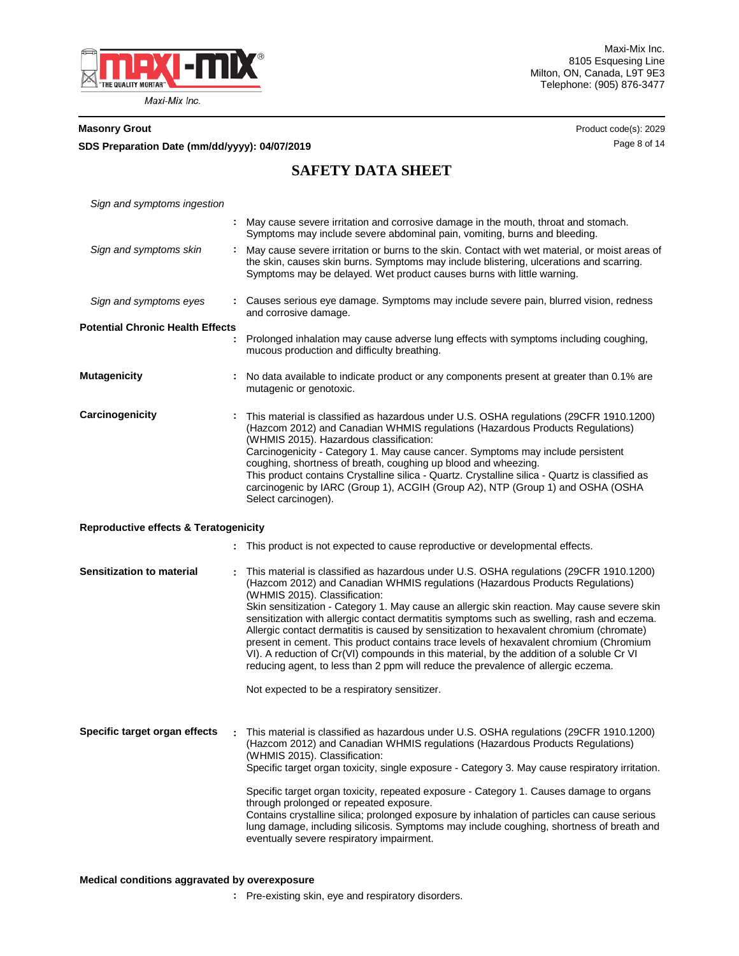

**SDS Preparation Date (mm/dd/yyyy):** Page 8 of 14 **04/07/2019**

**Masonry Grout** Product code(s): 2029

# **SAFETY DATA SHEET**

| Sign and symptoms ingestion                      |                                                                                                                                                                                                                                                                                                                                                                                                                                                                                                                                                                                                                                                                                                                                                                                                                               |
|--------------------------------------------------|-------------------------------------------------------------------------------------------------------------------------------------------------------------------------------------------------------------------------------------------------------------------------------------------------------------------------------------------------------------------------------------------------------------------------------------------------------------------------------------------------------------------------------------------------------------------------------------------------------------------------------------------------------------------------------------------------------------------------------------------------------------------------------------------------------------------------------|
|                                                  | : May cause severe irritation and corrosive damage in the mouth, throat and stomach.<br>Symptoms may include severe abdominal pain, vomiting, burns and bleeding.                                                                                                                                                                                                                                                                                                                                                                                                                                                                                                                                                                                                                                                             |
| Sign and symptoms skin                           | : May cause severe irritation or burns to the skin. Contact with wet material, or moist areas of<br>the skin, causes skin burns. Symptoms may include blistering, ulcerations and scarring.<br>Symptoms may be delayed. Wet product causes burns with little warning.                                                                                                                                                                                                                                                                                                                                                                                                                                                                                                                                                         |
| Sign and symptoms eyes                           | : Causes serious eye damage. Symptoms may include severe pain, blurred vision, redness<br>and corrosive damage.                                                                                                                                                                                                                                                                                                                                                                                                                                                                                                                                                                                                                                                                                                               |
| <b>Potential Chronic Health Effects</b>          | Prolonged inhalation may cause adverse lung effects with symptoms including coughing,<br>mucous production and difficulty breathing.                                                                                                                                                                                                                                                                                                                                                                                                                                                                                                                                                                                                                                                                                          |
| <b>Mutagenicity</b>                              | No data available to indicate product or any components present at greater than 0.1% are<br>mutagenic or genotoxic.                                                                                                                                                                                                                                                                                                                                                                                                                                                                                                                                                                                                                                                                                                           |
| Carcinogenicity                                  | This material is classified as hazardous under U.S. OSHA regulations (29CFR 1910.1200)<br>(Hazcom 2012) and Canadian WHMIS regulations (Hazardous Products Regulations)<br>(WHMIS 2015). Hazardous classification:<br>Carcinogenicity - Category 1. May cause cancer. Symptoms may include persistent<br>coughing, shortness of breath, coughing up blood and wheezing.<br>This product contains Crystalline silica - Quartz. Crystalline silica - Quartz is classified as<br>carcinogenic by IARC (Group 1), ACGIH (Group A2), NTP (Group 1) and OSHA (OSHA<br>Select carcinogen).                                                                                                                                                                                                                                           |
| <b>Reproductive effects &amp; Teratogenicity</b> |                                                                                                                                                                                                                                                                                                                                                                                                                                                                                                                                                                                                                                                                                                                                                                                                                               |
|                                                  | This product is not expected to cause reproductive or developmental effects.                                                                                                                                                                                                                                                                                                                                                                                                                                                                                                                                                                                                                                                                                                                                                  |
| <b>Sensitization to material</b>                 | This material is classified as hazardous under U.S. OSHA regulations (29CFR 1910.1200)<br>(Hazcom 2012) and Canadian WHMIS regulations (Hazardous Products Regulations)<br>(WHMIS 2015). Classification:<br>Skin sensitization - Category 1. May cause an allergic skin reaction. May cause severe skin<br>sensitization with allergic contact dermatitis symptoms such as swelling, rash and eczema.<br>Allergic contact dermatitis is caused by sensitization to hexavalent chromium (chromate)<br>present in cement. This product contains trace levels of hexavalent chromium (Chromium<br>VI). A reduction of Cr(VI) compounds in this material, by the addition of a soluble Cr VI<br>reducing agent, to less than 2 ppm will reduce the prevalence of allergic eczema.<br>Not expected to be a respiratory sensitizer. |
| Specific target organ effects                    | This material is classified as hazardous under U.S. OSHA regulations (29CFR 1910.1200)<br>(Hazcom 2012) and Canadian WHMIS regulations (Hazardous Products Regulations)<br>(WHMIS 2015). Classification:<br>Specific target organ toxicity, single exposure - Category 3. May cause respiratory irritation.<br>Specific target organ toxicity, repeated exposure - Category 1. Causes damage to organs<br>through prolonged or repeated exposure.<br>Contains crystalline silica; prolonged exposure by inhalation of particles can cause serious<br>lung damage, including silicosis. Symptoms may include coughing, shortness of breath and<br>eventually severe respiratory impairment.                                                                                                                                    |

**:** Pre-existing skin, eye and respiratory disorders.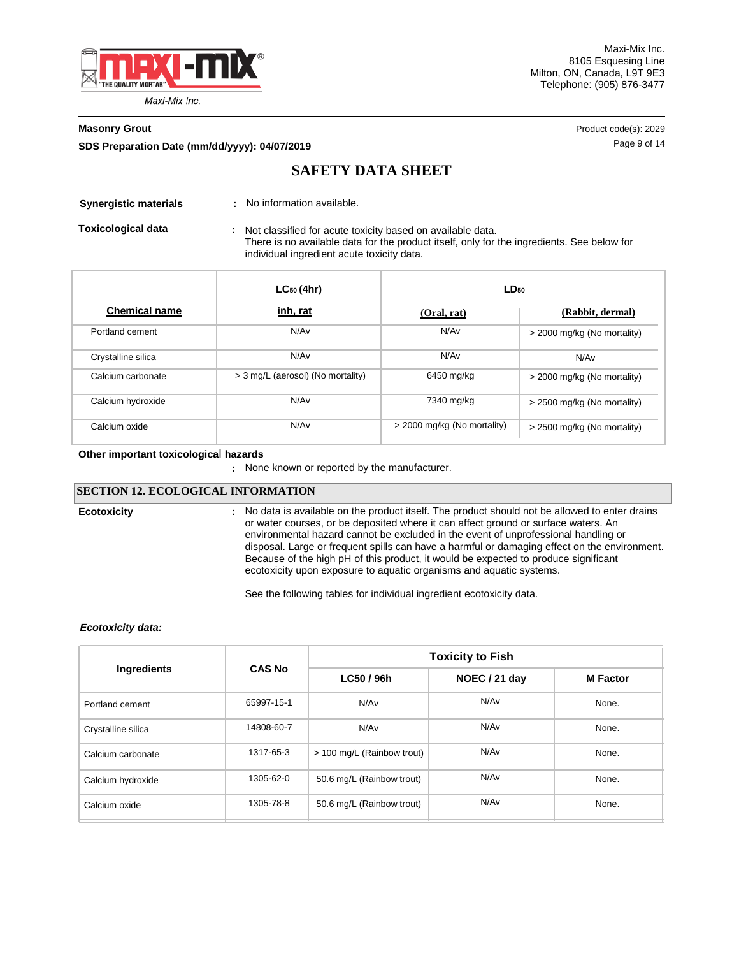

**SDS Preparation Date (mm/dd/yyyy): 04/07/2019 and the page 10 are 14 and 14 are 14 and 14 and 14 and 14 and 14 and 14 and 14 and 14 and 14 and 14 and 14 and 14 and 14 and 15 and 16 and 16 and 16 and 16 and 16 and 16 and** 

**Masonry Grout** Product code(s): 2029

# **SAFETY DATA SHEET**

**Synergistic materials : No information available.** 

Not classified for acute toxicity based on available data. There is no available data for the product itself, only for the ingredients. See below for individual ingredient acute toxicity data. **Toxicological data :**

|                      | $LC_{50}$ (4hr)                   | $LD_{50}$                   |                             |
|----------------------|-----------------------------------|-----------------------------|-----------------------------|
| <b>Chemical name</b> | <u>inh, rat</u>                   | (Oral, rat)                 | (Rabbit, dermal)            |
| Portland cement      | N/Av                              | N/A <sub>v</sub>            | > 2000 mg/kg (No mortality) |
| Crystalline silica   | N/Av                              | N/A <sub>v</sub>            | N/Av                        |
| Calcium carbonate    | > 3 mg/L (aerosol) (No mortality) | 6450 mg/kg                  | > 2000 mg/kg (No mortality) |
| Calcium hydroxide    | N/Av                              | 7340 mg/kg                  | > 2500 mg/kg (No mortality) |
| Calcium oxide        | N/Av                              | > 2000 mg/kg (No mortality) | > 2500 mg/kg (No mortality) |

#### **Other important toxicologica**l **hazards**

**:** None known or reported by the manufacturer.

## **SECTION 12. ECOLOGICAL INFORMATION**

**Ecotoxicity :**

No data is available on the product itself. The product should not be allowed to enter drains or water courses, or be deposited where it can affect ground or surface waters. An environmental hazard cannot be excluded in the event of unprofessional handling or disposal. Large or frequent spills can have a harmful or damaging effect on the environment. Because of the high pH of this product, it would be expected to produce significant ecotoxicity upon exposure to aquatic organisms and aquatic systems.

See the following tables for individual ingredient ecotoxicity data.

### *Ecotoxicity data:*

|                    |               | <b>Toxicity to Fish</b>    |                  |                 |  |  |
|--------------------|---------------|----------------------------|------------------|-----------------|--|--|
| Ingredients        | <b>CAS No</b> | LC50 / 96h                 | NOEC / 21 day    | <b>M</b> Factor |  |  |
| Portland cement    | 65997-15-1    | N/A <sub>v</sub>           | N/A <sub>v</sub> | None.           |  |  |
| Crystalline silica | 14808-60-7    | N/Av                       | N/Av             | None.           |  |  |
| Calcium carbonate  | 1317-65-3     | > 100 mg/L (Rainbow trout) | N/A <sub>v</sub> | None.           |  |  |
| Calcium hydroxide  | 1305-62-0     | 50.6 mg/L (Rainbow trout)  | N/A <sub>v</sub> | None.           |  |  |
| Calcium oxide      | 1305-78-8     | 50.6 mg/L (Rainbow trout)  | N/A <sub>v</sub> | None.           |  |  |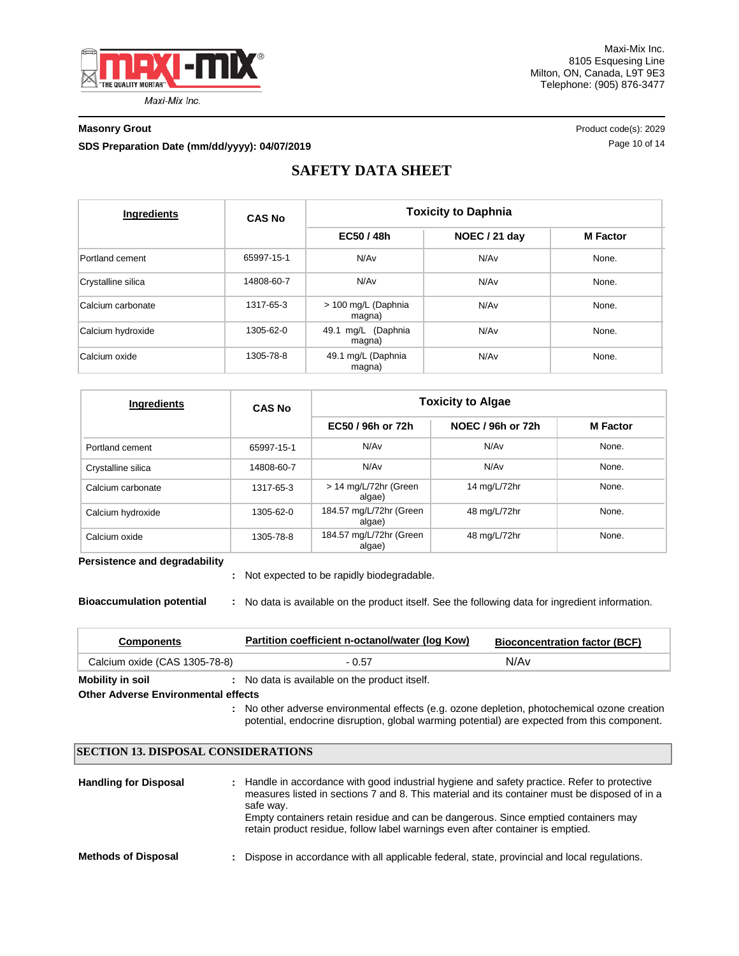

Maxi-Mix Inc. 8105 Esquesing Line Milton, ON, Canada, L9T 9E3 Telephone: (905) 876-3477

**SDS Preparation Date (mm/dd/yyyy): 04/07/2019 04/07/2019 10.04/07/2019 Page 10 of 14** 

**Masonry Grout** Product code(s): 2029

# **SAFETY DATA SHEET**

| Ingredients        | <b>CAS No</b> | <b>Toxicity to Daphnia</b>    |                  |                 |  |
|--------------------|---------------|-------------------------------|------------------|-----------------|--|
|                    |               | EC50 / 48h                    | NOEC / 21 day    | <b>M</b> Factor |  |
| Portland cement    | 65997-15-1    | N/Av                          | N/Av             | None.           |  |
| Crystalline silica | 14808-60-7    | N/Av                          | N/A <sub>v</sub> | None.           |  |
| Calcium carbonate  | 1317-65-3     | > 100 mg/L (Daphnia<br>magna) | N/A <sub>v</sub> | None.           |  |
| Calcium hydroxide  | 1305-62-0     | 49.1 mg/L (Daphnia<br>magna)  | N/Av             | None.           |  |
| Calcium oxide      | 1305-78-8     | 49.1 mg/L (Daphnia<br>magna)  | N/Av             | None.           |  |

| Ingredients        | <b>CAS No</b> | <b>Toxicity to Algae</b>          |                   |                 |  |  |
|--------------------|---------------|-----------------------------------|-------------------|-----------------|--|--|
|                    |               | EC50 / 96h or 72h                 | NOEC / 96h or 72h | <b>M</b> Factor |  |  |
| Portland cement    | 65997-15-1    | N/Av                              | N/A <sub>v</sub>  | None.           |  |  |
| Crystalline silica | 14808-60-7    | N/Av                              | N/A <sub>v</sub>  | None.           |  |  |
| Calcium carbonate  | 1317-65-3     | > 14 mg/L/72hr (Green<br>algae)   | 14 mg/L/72hr      | None.           |  |  |
| Calcium hydroxide  | 1305-62-0     | 184.57 mg/L/72hr (Green<br>algae) | 48 mg/L/72hr      | None.           |  |  |
| Calcium oxide      | 1305-78-8     | 184.57 mg/L/72hr (Green<br>algae) | 48 mg/L/72hr      | None.           |  |  |

**Persistence and degradability**

Not expected to be rapidly biodegradable. **:**

**Bioaccumulation potential :** No data is available on the product itself. See the following data for ingredient information.

| <b>Components</b>                   | Partition coefficient n-octanol/water (log Kow) | <b>Bioconcentration factor (BCF)</b> |
|-------------------------------------|-------------------------------------------------|--------------------------------------|
| Calcium oxide (CAS 1305-78-8)       | - 0.57                                          | N/Av                                 |
| Mobility in soil                    | No data is available on the product itself.     |                                      |
| Other Adverse Environmental effects |                                                 |                                      |

**Other Adverse Environmental effects** 

No other adverse environmental effects (e.g. ozone depletion, photochemical ozone creation **:** potential, endocrine disruption, global warming potential) are expected from this component.

# **SECTION 13. DISPOSAL CONSIDERATIONS**

| <b>Handling for Disposal</b> | : Handle in accordance with good industrial hygiene and safety practice. Refer to protective<br>measures listed in sections 7 and 8. This material and its container must be disposed of in a<br>safe way.<br>Empty containers retain residue and can be dangerous. Since emptied containers may<br>retain product residue, follow label warnings even after container is emptied. |
|------------------------------|------------------------------------------------------------------------------------------------------------------------------------------------------------------------------------------------------------------------------------------------------------------------------------------------------------------------------------------------------------------------------------|
| <b>Methods of Disposal</b>   | : Dispose in accordance with all applicable federal, state, provincial and local regulations.                                                                                                                                                                                                                                                                                      |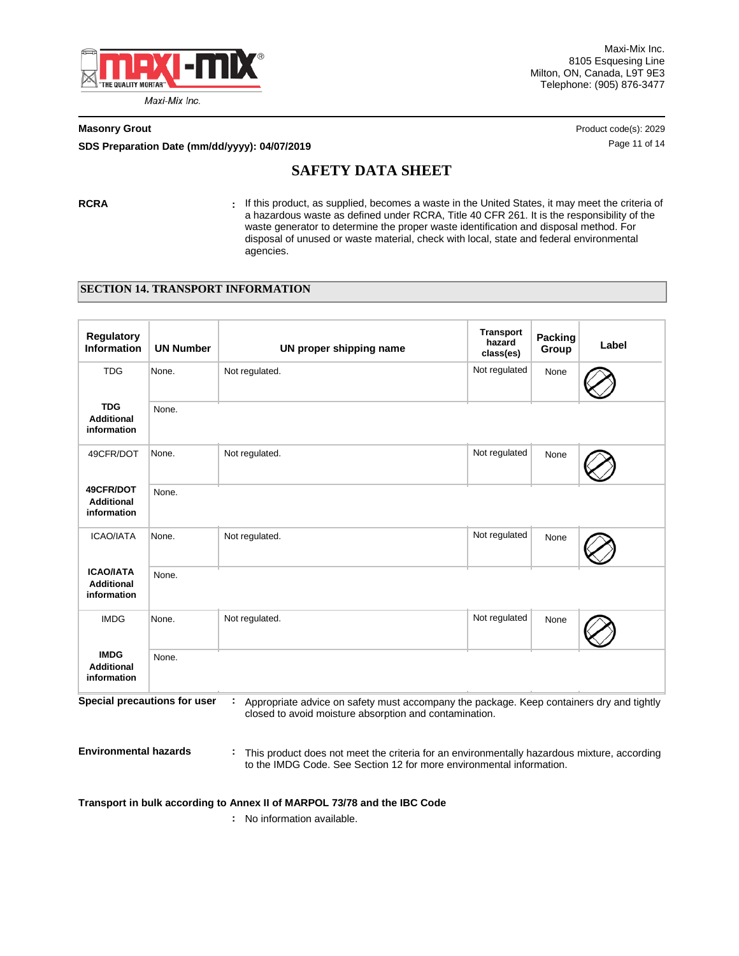

Maxi-Mix Inc. 8105 Esquesing Line Milton, ON, Canada, L9T 9E3 Telephone: (905) 876-3477

**SDS Preparation Date (mm/dd/yyyy): 04/07/2019 04/07/2019 10.000 10.000 10.000 11 06 14 Page 11 of 14** 

**Masonry Grout** Product code(s): 2029

# **SAFETY DATA SHEET**

**RCRA :** If this product, as supplied, becomes a waste in the United States, it may meet the criteria of a hazardous waste as defined under RCRA, Title 40 CFR 261. It is the responsibility of the waste generator to determine the proper waste identification and disposal method. For disposal of unused or waste material, check with local, state and federal environmental agencies.

# **SECTION 14. TRANSPORT INFORMATION**

| <b>Regulatory</b><br><b>Information</b>              | <b>UN Number</b>             | UN proper shipping name                                                                                                                                               | <b>Transport</b><br>hazard<br>class(es) | Packing<br>Group | Label |
|------------------------------------------------------|------------------------------|-----------------------------------------------------------------------------------------------------------------------------------------------------------------------|-----------------------------------------|------------------|-------|
| <b>TDG</b>                                           | None.                        | Not regulated.                                                                                                                                                        | Not regulated                           | None             |       |
| <b>TDG</b><br><b>Additional</b><br>information       | None.                        |                                                                                                                                                                       |                                         |                  |       |
| 49CFR/DOT                                            | None.                        | Not regulated.                                                                                                                                                        | Not regulated                           | None             |       |
| 49CFR/DOT<br><b>Additional</b><br>information        | None.                        |                                                                                                                                                                       |                                         |                  |       |
| <b>ICAO/IATA</b>                                     | None.                        | Not regulated.                                                                                                                                                        | Not regulated                           | None             |       |
| <b>ICAO/IATA</b><br><b>Additional</b><br>information | None.                        |                                                                                                                                                                       |                                         |                  |       |
| <b>IMDG</b>                                          | None.                        | Not regulated.                                                                                                                                                        | Not regulated                           | None             |       |
| <b>IMDG</b><br><b>Additional</b><br>information      | None.                        |                                                                                                                                                                       |                                         |                  |       |
|                                                      | Special precautions for user | : Appropriate advice on safety must accompany the package. Keep containers dry and tightly<br>closed to avoid moisture absorption and contamination.                  |                                         |                  |       |
| <b>Environmental hazards</b>                         |                              | : This product does not meet the criteria for an environmentally hazardous mixture, according<br>to the IMDG Code. See Section 12 for more environmental information. |                                         |                  |       |
|                                                      |                              | Transport in bulk according to Annex II of MARPOL 73/78 and the IBC Code                                                                                              |                                         |                  |       |

**:** No information available.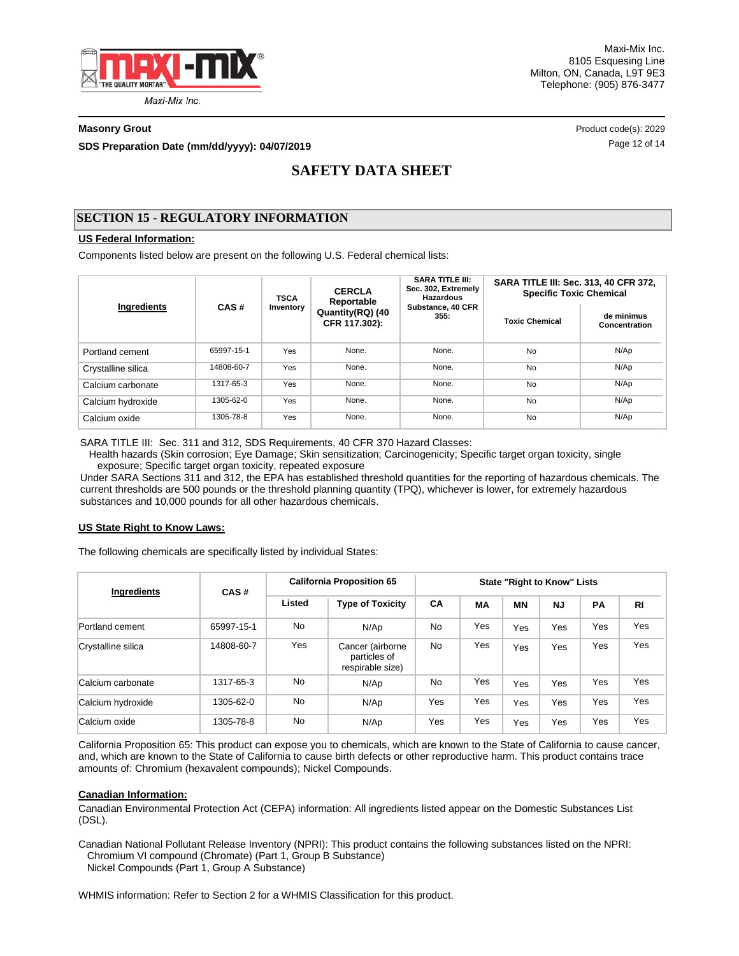

Maxi-Mix Inc. 8105 Esquesing Line Milton, ON, Canada, L9T 9E3 Telephone: (905) 876-3477

**SDS Preparation Date (mm/dd/yyyy): 04/07/2019 Discription of the Case 12 of 14 Page 12 of 14 Page 12 of 14** 

**Masonry Grout** Product code(s): 2029

# **SAFETY DATA SHEET**

## **SECTION 15 - REGULATORY INFORMATION**

## **US Federal Information:**

Components listed below are present on the following U.S. Federal chemical lists:

|                    |            | <b>TSCA</b> | <b>CERCLA</b><br>Reportable       | <b>SARA TITLE III:</b><br>Sec. 302, Extremely<br><b>Hazardous</b> | SARA TITLE III: Sec. 313, 40 CFR 372,<br><b>Specific Toxic Chemical</b> |                             |  |
|--------------------|------------|-------------|-----------------------------------|-------------------------------------------------------------------|-------------------------------------------------------------------------|-----------------------------|--|
| Ingredients        | CAS#       | Inventory   | Quantity(RQ) (40<br>CFR 117.302): | Substance, 40 CFR<br>355.                                         | <b>Toxic Chemical</b>                                                   | de minimus<br>Concentration |  |
| Portland cement    | 65997-15-1 | Yes         | None.                             | None.                                                             | <b>No</b>                                                               | N/Ap                        |  |
| Crystalline silica | 14808-60-7 | Yes         | None.                             | None.                                                             | <b>No</b>                                                               | N/Ap                        |  |
| Calcium carbonate  | 1317-65-3  | Yes         | None.                             | None.                                                             | <b>No</b>                                                               | N/Ap                        |  |
| Calcium hydroxide  | 1305-62-0  | Yes         | None.                             | None.                                                             | No                                                                      | N/Ap                        |  |
| Calcium oxide      | 1305-78-8  | Yes         | None.                             | None.                                                             | No                                                                      | N/Ap                        |  |

SARA TITLE III: Sec. 311 and 312, SDS Requirements, 40 CFR 370 Hazard Classes:

 Health hazards (Skin corrosion; Eye Damage; Skin sensitization; Carcinogenicity; Specific target organ toxicity, single exposure; Specific target organ toxicity, repeated exposure

Under SARA Sections 311 and 312, the EPA has established threshold quantities for the reporting of hazardous chemicals. The current thresholds are 500 pounds or the threshold planning quantity (TPQ), whichever is lower, for extremely hazardous substances and 10,000 pounds for all other hazardous chemicals.

### **US State Right to Know Laws:**

The following chemicals are specifically listed by individual States:

| <b>Ingredients</b> | CAS#       | <b>California Proposition 65</b> |                                                      | <b>State "Right to Know" Lists</b> |     |     |     |           |           |
|--------------------|------------|----------------------------------|------------------------------------------------------|------------------------------------|-----|-----|-----|-----------|-----------|
|                    |            | Listed                           | <b>Type of Toxicity</b>                              | <b>CA</b>                          | MA  | ΜN  | NJ  | <b>PA</b> | <b>RI</b> |
| Portland cement    | 65997-15-1 | No.                              | N/Ap                                                 | <b>No</b>                          | Yes | Yes | Yes | Yes       | Yes       |
| Crystalline silica | 14808-60-7 | Yes                              | Cancer (airborne<br>particles of<br>respirable size) | <b>No</b>                          | Yes | Yes | Yes | Yes       | Yes       |
| Calcium carbonate  | 1317-65-3  | <b>No</b>                        | N/AD                                                 | <b>No</b>                          | Yes | Yes | Yes | Yes       | Yes       |
| Calcium hydroxide  | 1305-62-0  | <b>No</b>                        | N/Ap                                                 | Yes                                | Yes | Yes | Yes | Yes       | Yes       |
| Calcium oxide      | 1305-78-8  | <b>No</b>                        | N/Ap                                                 | Yes                                | Yes | Yes | Yes | Yes       | Yes       |

California Proposition 65: This product can expose you to chemicals, which are known to the State of California to cause cancer, and, which are known to the State of California to cause birth defects or other reproductive harm. This product contains trace amounts of: Chromium (hexavalent compounds); Nickel Compounds.

## **Canadian Information:**

Canadian Environmental Protection Act (CEPA) information: All ingredients listed appear on the Domestic Substances List (DSL).

Canadian National Pollutant Release Inventory (NPRI): This product contains the following substances listed on the NPRI: Chromium VI compound (Chromate) (Part 1, Group B Substance) Nickel Compounds (Part 1, Group A Substance)

WHMIS information: Refer to Section 2 for a WHMIS Classification for this product.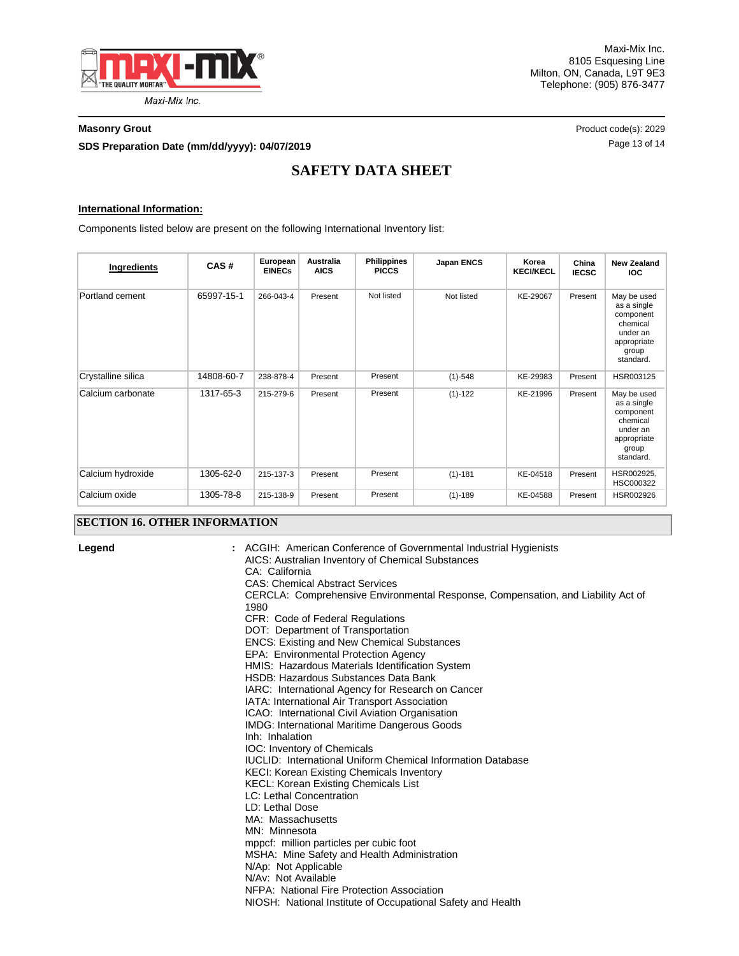

#### **Masonry Grout** Product code(s): 2029

**SDS Preparation Date (mm/dd/yyyy): 04/07/2019 Discription of the contract of the Page 13 of 14 Page 13 of 14** 

# **SAFETY DATA SHEET**

### **International Information:**

Components listed below are present on the following International Inventory list:

| Ingredients        | CAS#       | European<br><b>EINECs</b> | Australia<br><b>AICS</b> | <b>Philippines</b><br><b>PICCS</b> | Japan ENCS  | Korea<br><b>KECI/KECL</b> | China<br><b>IECSC</b> | <b>New Zealand</b><br><b>IOC</b>                                                                     |
|--------------------|------------|---------------------------|--------------------------|------------------------------------|-------------|---------------------------|-----------------------|------------------------------------------------------------------------------------------------------|
| Portland cement    | 65997-15-1 | 266-043-4                 | Present                  | Not listed                         | Not listed  | KE-29067                  | Present               | May be used<br>as a single<br>component<br>chemical<br>under an<br>appropriate<br>group<br>standard. |
| Crystalline silica | 14808-60-7 | 238-878-4                 | Present                  | Present                            | $(1)-548$   | KE-29983                  | Present               | HSR003125                                                                                            |
| Calcium carbonate  | 1317-65-3  | 215-279-6                 | Present                  | Present                            | $(1)-122$   | KE-21996                  | Present               | May be used<br>as a single<br>component<br>chemical<br>under an<br>appropriate<br>group<br>standard. |
| Calcium hydroxide  | 1305-62-0  | 215-137-3                 | Present                  | Present                            | $(1)-181$   | KE-04518                  | Present               | HSR002925,<br>HSC000322                                                                              |
| Calcium oxide      | 1305-78-8  | 215-138-9                 | Present                  | Present                            | $(1) - 189$ | KE-04588                  | Present               | HSR002926                                                                                            |

## **SECTION 16. OTHER INFORMATION**

**Legend :**

ACGIH: American Conference of Governmental Industrial Hygienists AICS: Australian Inventory of Chemical Substances CA: California CAS: Chemical Abstract Services CERCLA: Comprehensive Environmental Response, Compensation, and Liability Act of 1980 CFR: Code of Federal Regulations DOT: Department of Transportation ENCS: Existing and New Chemical Substances EPA: Environmental Protection Agency HMIS: Hazardous Materials Identification System HSDB: Hazardous Substances Data Bank IARC: International Agency for Research on Cancer IATA: International Air Transport Association ICAO: International Civil Aviation Organisation IMDG: International Maritime Dangerous Goods Inh: Inhalation IOC: Inventory of Chemicals IUCLID: International Uniform Chemical Information Database KECI: Korean Existing Chemicals Inventory KECL: Korean Existing Chemicals List LC: Lethal Concentration LD: Lethal Dose MA: Massachusetts MN: Minnesota mppcf: million particles per cubic foot MSHA: Mine Safety and Health Administration N/Ap: Not Applicable N/Av: Not Available NFPA: National Fire Protection Association NIOSH: National Institute of Occupational Safety and Health